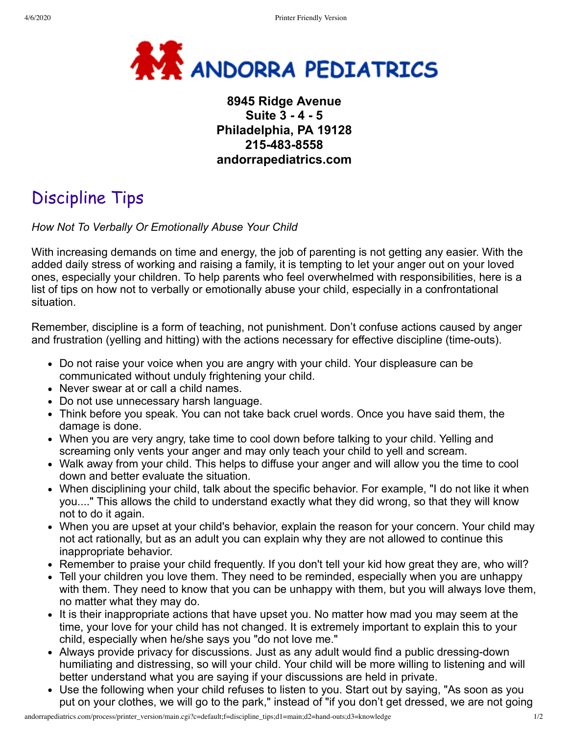

## **8945 Ridge Avenue Suite 3 - 4 - 5 Philadelphia, PA 19128 215-483-8558 andorrapediatrics.com**

## Discipline Tips

## *How Not To Verbally Or Emotionally Abuse Your Child*

With increasing demands on time and energy, the job of parenting is not getting any easier. With the added daily stress of working and raising a family, it is tempting to let your anger out on your loved ones, especially your children. To help parents who feel overwhelmed with responsibilities, here is a list of tips on how not to verbally or emotionally abuse your child, especially in a confrontational situation.

Remember, discipline is a form of teaching, not punishment. Don't confuse actions caused by anger and frustration (yelling and hitting) with the actions necessary for effective discipline (time-outs).

- Do not raise your voice when you are angry with your child. Your displeasure can be communicated without unduly frightening your child.
- Never swear at or call a child names.
- Do not use unnecessary harsh language.
- Think before you speak. You can not take back cruel words. Once you have said them, the damage is done.
- When you are very angry, take time to cool down before talking to your child. Yelling and screaming only vents your anger and may only teach your child to yell and scream.
- Walk away from your child. This helps to diffuse your anger and will allow you the time to cool down and better evaluate the situation.
- When disciplining your child, talk about the specific behavior. For example, "I do not like it when you...." This allows the child to understand exactly what they did wrong, so that they will know not to do it again.
- When you are upset at your child's behavior, explain the reason for your concern. Your child may not act rationally, but as an adult you can explain why they are not allowed to continue this inappropriate behavior.
- Remember to praise your child frequently. If you don't tell your kid how great they are, who will?
- Tell your children you love them. They need to be reminded, especially when you are unhappy with them. They need to know that you can be unhappy with them, but you will always love them, no matter what they may do.
- It is their inappropriate actions that have upset you. No matter how mad you may seem at the time, your love for your child has not changed. It is extremely important to explain this to your child, especially when he/she says you "do not love me."
- Always provide privacy for discussions. Just as any adult would find a public dressing-down humiliating and distressing, so will your child. Your child will be more willing to listening and will better understand what you are saying if your discussions are held in private.
- Use the following when your child refuses to listen to you. Start out by saying, "As soon as you put on your clothes, we will go to the park," instead of "if you don't get dressed, we are not going